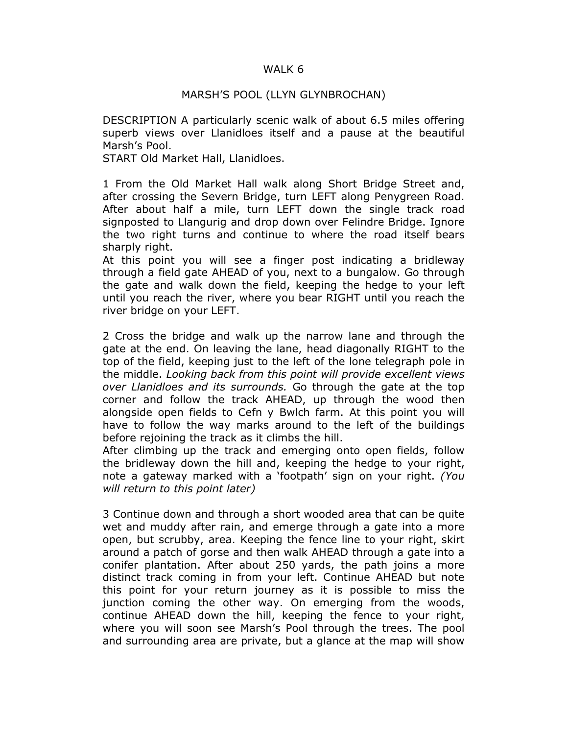## WALK 6

## MARSH'S POOL (LLYN GLYNBROCHAN)

DESCRIPTION A particularly scenic walk of about 6.5 miles offering superb views over Llanidloes itself and a pause at the beautiful Marsh's Pool.

START Old Market Hall, Llanidloes.

1 From the Old Market Hall walk along Short Bridge Street and, after crossing the Severn Bridge, turn LEFT along Penygreen Road. After about half a mile, turn LEFT down the single track road signposted to Llangurig and drop down over Felindre Bridge. Ignore the two right turns and continue to where the road itself bears sharply right.

At this point you will see a finger post indicating a bridleway through a field gate AHEAD of you, next to a bungalow. Go through the gate and walk down the field, keeping the hedge to your left until you reach the river, where you bear RIGHT until you reach the river bridge on your LEFT.

2 Cross the bridge and walk up the narrow lane and through the gate at the end. On leaving the lane, head diagonally RIGHT to the top of the field, keeping just to the left of the lone telegraph pole in the middle. Looking back from this point will provide excellent views over Llanidloes and its surrounds. Go through the gate at the top corner and follow the track AHEAD, up through the wood then alongside open fields to Cefn y Bwlch farm. At this point you will have to follow the way marks around to the left of the buildings before rejoining the track as it climbs the hill.

After climbing up the track and emerging onto open fields, follow the bridleway down the hill and, keeping the hedge to your right, note a gateway marked with a 'footpath' sign on your right. (You will return to this point later)

3 Continue down and through a short wooded area that can be quite wet and muddy after rain, and emerge through a gate into a more open, but scrubby, area. Keeping the fence line to your right, skirt around a patch of gorse and then walk AHEAD through a gate into a conifer plantation. After about 250 yards, the path joins a more distinct track coming in from your left. Continue AHEAD but note this point for your return journey as it is possible to miss the junction coming the other way. On emerging from the woods, continue AHEAD down the hill, keeping the fence to your right, where you will soon see Marsh's Pool through the trees. The pool and surrounding area are private, but a glance at the map will show